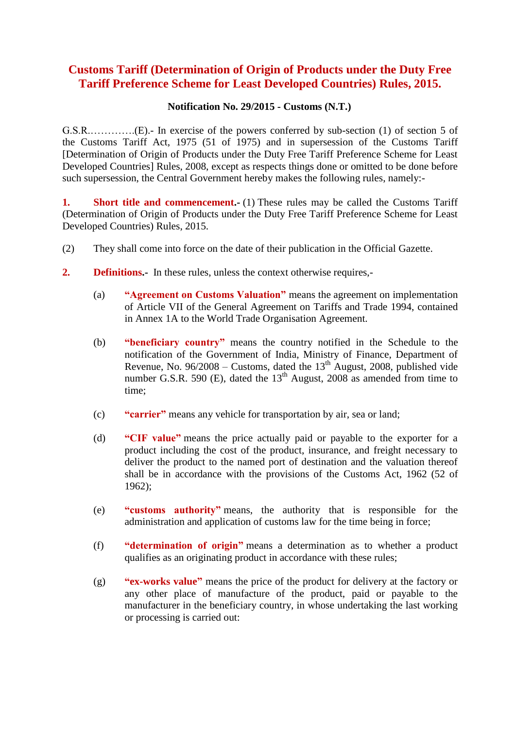# **Customs Tariff (Determination of Origin of Products under the Duty Free Tariff Preference Scheme for Least Developed Countries) Rules, 2015.**

#### **Notification No. 29/2015 - Customs (N.T.)**

G.S.R.………….(E).- In exercise of the powers conferred by sub-section (1) of section 5 of the Customs Tariff Act, 1975 (51 of 1975) and in supersession of the Customs Tariff [Determination of Origin of Products under the Duty Free Tariff Preference Scheme for Least Developed Countries] Rules, 2008, except as respects things done or omitted to be done before such supersession, the Central Government hereby makes the following rules, namely:-

**1.** Short title and commencement. (1) These rules may be called the Customs Tariff (Determination of Origin of Products under the Duty Free Tariff Preference Scheme for Least Developed Countries) Rules, 2015.

- (2) They shall come into force on the date of their publication in the Official Gazette.
- **2. Definitions.-** In these rules, unless the context otherwise requires,-
	- (a) **"Agreement on Customs Valuation"** means the agreement on implementation of Article VII of the General Agreement on Tariffs and Trade 1994, contained in Annex 1A to the World Trade Organisation Agreement.
	- (b) **"beneficiary country"** means the country notified in the Schedule to the notification of the Government of India, Ministry of Finance, Department of Revenue, No.  $96/2008$  – Customs, dated the  $13<sup>th</sup>$  August, 2008, published vide number G.S.R. 590 (E), dated the  $13<sup>th</sup>$  August, 2008 as amended from time to time;
	- (c) **"carrier"** means any vehicle for transportation by air, sea or land;
	- (d) **"CIF value"** means the price actually paid or payable to the exporter for a product including the cost of the product, insurance, and freight necessary to deliver the product to the named port of destination and the valuation thereof shall be in accordance with the provisions of the Customs Act, 1962 (52 of 1962);
	- (e) **"customs authority"** means, the authority that is responsible for the administration and application of customs law for the time being in force;
	- (f) **"determination of origin"** means a determination as to whether a product qualifies as an originating product in accordance with these rules;
	- (g) **"ex-works value"** means the price of the product for delivery at the factory or any other place of manufacture of the product, paid or payable to the manufacturer in the beneficiary country, in whose undertaking the last working or processing is carried out: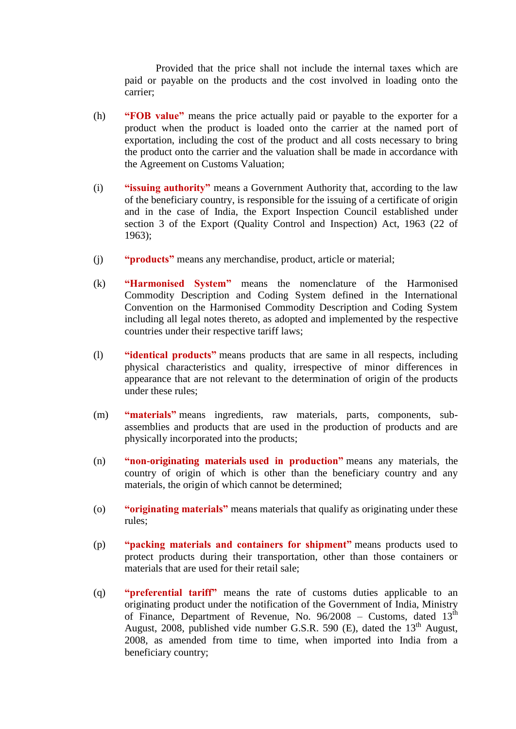Provided that the price shall not include the internal taxes which are paid or payable on the products and the cost involved in loading onto the carrier;

- (h) **"FOB value"** means the price actually paid or payable to the exporter for a product when the product is loaded onto the carrier at the named port of exportation, including the cost of the product and all costs necessary to bring the product onto the carrier and the valuation shall be made in accordance with the Agreement on Customs Valuation;
- (i) **"issuing authority"** means a Government Authority that, according to the law of the beneficiary country, is responsible for the issuing of a certificate of origin and in the case of India, the Export Inspection Council established under section 3 of the Export (Quality Control and Inspection) Act, 1963 (22 of 1963);
- (j) **"products"** means any merchandise, product, article or material;
- (k) **"Harmonised System"** means the nomenclature of the Harmonised Commodity Description and Coding System defined in the International Convention on the Harmonised Commodity Description and Coding System including all legal notes thereto, as adopted and implemented by the respective countries under their respective tariff laws;
- (l) **"identical products"** means products that are same in all respects, including physical characteristics and quality, irrespective of minor differences in appearance that are not relevant to the determination of origin of the products under these rules;
- (m) **"materials"** means ingredients, raw materials, parts, components, subassemblies and products that are used in the production of products and are physically incorporated into the products;
- (n) **"non-originating materials used in production"** means any materials, the country of origin of which is other than the beneficiary country and any materials, the origin of which cannot be determined;
- (o) **"originating materials"** means materials that qualify as originating under these rules;
- (p) **"packing materials and containers for shipment"** means products used to protect products during their transportation, other than those containers or materials that are used for their retail sale;
- (q) **"preferential tariff"** means the rate of customs duties applicable to an originating product under the notification of the Government of India, Ministry of Finance, Department of Revenue, No. 96/2008 – Customs, dated 13<sup>th</sup> August, 2008, published vide number G.S.R. 590 (E), dated the  $13<sup>th</sup>$  August, 2008, as amended from time to time, when imported into India from a beneficiary country;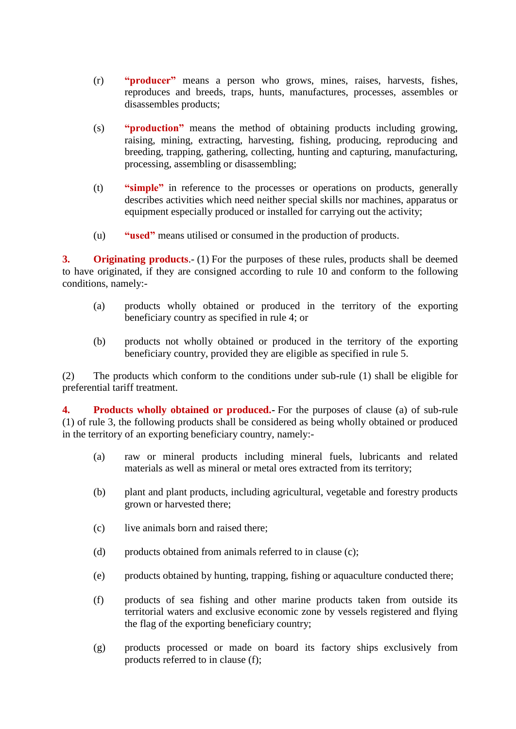- (r) **"producer"** means a person who grows, mines, raises, harvests, fishes, reproduces and breeds, traps, hunts, manufactures, processes, assembles or disassembles products;
- (s) **"production"** means the method of obtaining products including growing, raising, mining, extracting, harvesting, fishing, producing, reproducing and breeding, trapping, gathering, collecting, hunting and capturing, manufacturing, processing, assembling or disassembling;
- (t) **"simple"** in reference to the processes or operations on products, generally describes activities which need neither special skills nor machines, apparatus or equipment especially produced or installed for carrying out the activity;
- (u) **"used"** means utilised or consumed in the production of products.

**3. Originating products**.- (1) For the purposes of these rules, products shall be deemed to have originated, if they are consigned according to rule 10 and conform to the following conditions, namely:-

- (a) products wholly obtained or produced in the territory of the exporting beneficiary country as specified in rule 4; or
- (b) products not wholly obtained or produced in the territory of the exporting beneficiary country, provided they are eligible as specified in rule 5.

(2) The products which conform to the conditions under sub-rule (1) shall be eligible for preferential tariff treatment.

**4. Products wholly obtained or produced.-** For the purposes of clause (a) of sub-rule (1) of rule 3, the following products shall be considered as being wholly obtained or produced in the territory of an exporting beneficiary country, namely:-

- (a) raw or mineral products including mineral fuels, lubricants and related materials as well as mineral or metal ores extracted from its territory;
- (b) plant and plant products, including agricultural, vegetable and forestry products grown or harvested there;
- (c) live animals born and raised there;
- (d) products obtained from animals referred to in clause (c);
- (e) products obtained by hunting, trapping, fishing or aquaculture conducted there;
- (f) products of sea fishing and other marine products taken from outside its territorial waters and exclusive economic zone by vessels registered and flying the flag of the exporting beneficiary country;
- (g) products processed or made on board its factory ships exclusively from products referred to in clause (f);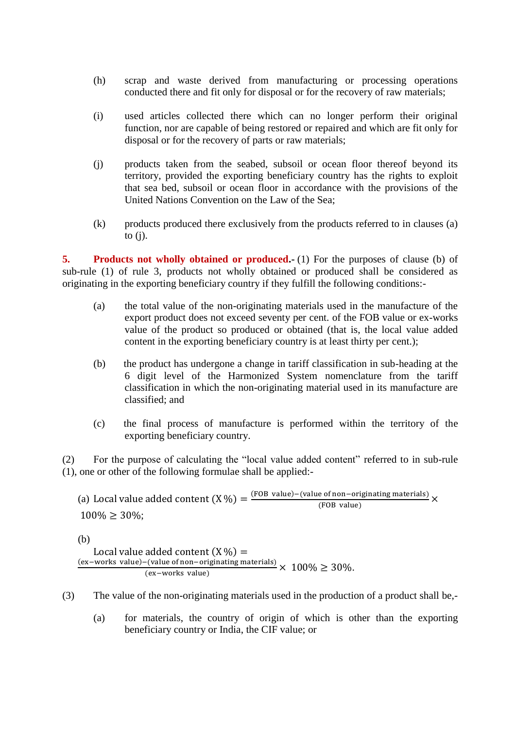- (h) scrap and waste derived from manufacturing or processing operations conducted there and fit only for disposal or for the recovery of raw materials;
- (i) used articles collected there which can no longer perform their original function, nor are capable of being restored or repaired and which are fit only for disposal or for the recovery of parts or raw materials;
- (j) products taken from the seabed, subsoil or ocean floor thereof beyond its territory, provided the exporting beneficiary country has the rights to exploit that sea bed, subsoil or ocean floor in accordance with the provisions of the United Nations Convention on the Law of the Sea;
- (k) products produced there exclusively from the products referred to in clauses (a) to  $(i)$ .

**5.** Products not wholly obtained or produced. (1) For the purposes of clause (b) of sub-rule (1) of rule 3, products not wholly obtained or produced shall be considered as originating in the exporting beneficiary country if they fulfill the following conditions:-

- (a) the total value of the non-originating materials used in the manufacture of the export product does not exceed seventy per cent. of the FOB value or ex-works value of the product so produced or obtained (that is, the local value added content in the exporting beneficiary country is at least thirty per cent.);
- (b) the product has undergone a change in tariff classification in sub-heading at the 6 digit level of the Harmonized System nomenclature from the tariff classification in which the non-originating material used in its manufacture are classified; and
- (c) the final process of manufacture is performed within the territory of the exporting beneficiary country.

(2) For the purpose of calculating the "local value added content" referred to in sub-rule (1), one or other of the following formulae shall be applied:-

(a) Local value added content  $(X \%) = \frac{(FOB value) - (value of non-originating materials)}{(EOR value)}$  $\frac{1}{2}$  (FOB value)  $100\% \geq 30\%;$ 

(b)

Local value added content  $(X \mathcal{Y}_0) =$  $\frac{(\text{ex}-\text{works value})-(\text{value of non-originating materials})}{(\text{ex}-\text{walkase})} \times 100\% \geq 30\%.$ (ex-works value)

- (3) The value of the non-originating materials used in the production of a product shall be,-
	- (a) for materials, the country of origin of which is other than the exporting beneficiary country or India, the CIF value; or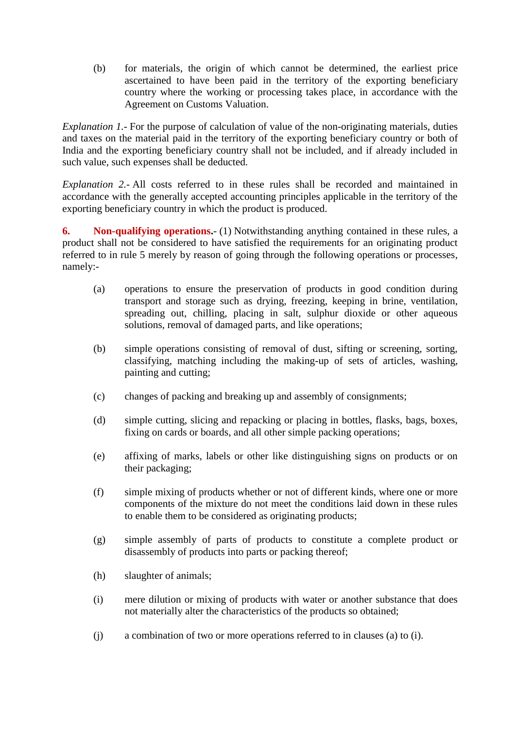(b) for materials, the origin of which cannot be determined, the earliest price ascertained to have been paid in the territory of the exporting beneficiary country where the working or processing takes place, in accordance with the Agreement on Customs Valuation.

*Explanation 1.-* For the purpose of calculation of value of the non-originating materials, duties and taxes on the material paid in the territory of the exporting beneficiary country or both of India and the exporting beneficiary country shall not be included, and if already included in such value, such expenses shall be deducted.

*Explanation 2.-* All costs referred to in these rules shall be recorded and maintained in accordance with the generally accepted accounting principles applicable in the territory of the exporting beneficiary country in which the product is produced.

**6.** Non-qualifying operations. (1) Notwithstanding anything contained in these rules, a product shall not be considered to have satisfied the requirements for an originating product referred to in rule 5 merely by reason of going through the following operations or processes, namely:-

- (a) operations to ensure the preservation of products in good condition during transport and storage such as drying, freezing, keeping in brine, ventilation, spreading out, chilling, placing in salt, sulphur dioxide or other aqueous solutions, removal of damaged parts, and like operations;
- (b) simple operations consisting of removal of dust, sifting or screening, sorting, classifying, matching including the making-up of sets of articles, washing, painting and cutting;
- (c) changes of packing and breaking up and assembly of consignments;
- (d) simple cutting, slicing and repacking or placing in bottles, flasks, bags, boxes, fixing on cards or boards, and all other simple packing operations;
- (e) affixing of marks, labels or other like distinguishing signs on products or on their packaging;
- (f) simple mixing of products whether or not of different kinds, where one or more components of the mixture do not meet the conditions laid down in these rules to enable them to be considered as originating products;
- (g) simple assembly of parts of products to constitute a complete product or disassembly of products into parts or packing thereof;
- (h) slaughter of animals;
- (i) mere dilution or mixing of products with water or another substance that does not materially alter the characteristics of the products so obtained;
- (j) a combination of two or more operations referred to in clauses (a) to (i).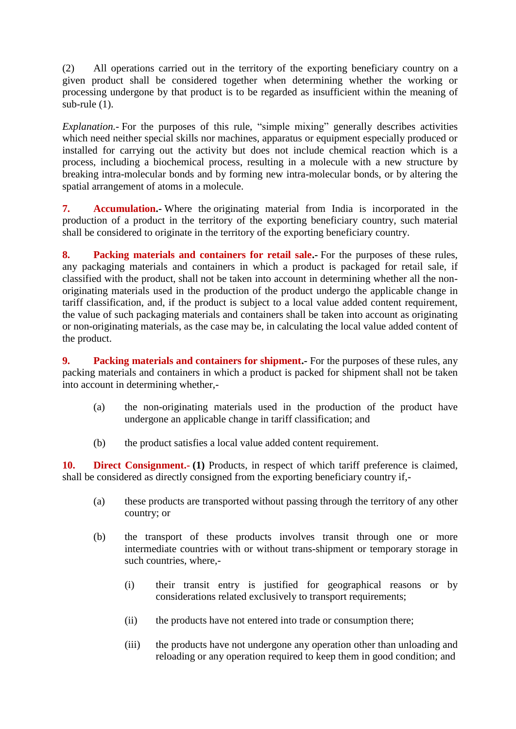(2) All operations carried out in the territory of the exporting beneficiary country on a given product shall be considered together when determining whether the working or processing undergone by that product is to be regarded as insufficient within the meaning of sub-rule (1).

*Explanation.-* For the purposes of this rule, "simple mixing" generally describes activities which need neither special skills nor machines, apparatus or equipment especially produced or installed for carrying out the activity but does not include chemical reaction which is a process, including a biochemical process, resulting in a molecule with a new structure by breaking intra-molecular bonds and by forming new intra-molecular bonds, or by altering the spatial arrangement of atoms in a molecule.

**7. Accumulation.-** Where the originating material from India is incorporated in the production of a product in the territory of the exporting beneficiary country, such material shall be considered to originate in the territory of the exporting beneficiary country.

**8.** Packing materials and containers for retail sale.- For the purposes of these rules, any packaging materials and containers in which a product is packaged for retail sale, if classified with the product, shall not be taken into account in determining whether all the nonoriginating materials used in the production of the product undergo the applicable change in tariff classification, and, if the product is subject to a local value added content requirement, the value of such packaging materials and containers shall be taken into account as originating or non-originating materials, as the case may be, in calculating the local value added content of the product.

**9.** Packing materials and containers for shipment. For the purposes of these rules, any packing materials and containers in which a product is packed for shipment shall not be taken into account in determining whether,-

- (a) the non-originating materials used in the production of the product have undergone an applicable change in tariff classification; and
- (b) the product satisfies a local value added content requirement.

10. **Direct Consignment.** (1) Products, in respect of which tariff preference is claimed, shall be considered as directly consigned from the exporting beneficiary country if,-

- (a) these products are transported without passing through the territory of any other country; or
- (b) the transport of these products involves transit through one or more intermediate countries with or without trans-shipment or temporary storage in such countries, where,-
	- (i) their transit entry is justified for geographical reasons or by considerations related exclusively to transport requirements;
	- (ii) the products have not entered into trade or consumption there;
	- (iii) the products have not undergone any operation other than unloading and reloading or any operation required to keep them in good condition; and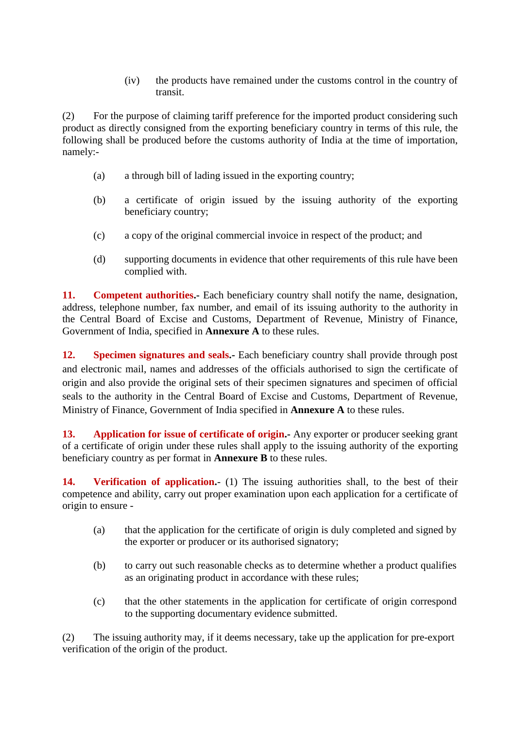(iv) the products have remained under the customs control in the country of transit.

(2) For the purpose of claiming tariff preference for the imported product considering such product as directly consigned from the exporting beneficiary country in terms of this rule, the following shall be produced before the customs authority of India at the time of importation, namely:-

- (a) a through bill of lading issued in the exporting country;
- (b) a certificate of origin issued by the issuing authority of the exporting beneficiary country;
- (c) a copy of the original commercial invoice in respect of the product; and
- (d) supporting documents in evidence that other requirements of this rule have been complied with.

**11. Competent authorities.** Each beneficiary country shall notify the name, designation, address, telephone number, fax number, and email of its issuing authority to the authority in the Central Board of Excise and Customs, Department of Revenue, Ministry of Finance, Government of India, specified in **Annexure A** to these rules.

**12. Specimen signatures and seals.-** Each beneficiary country shall provide through post and electronic mail, names and addresses of the officials authorised to sign the certificate of origin and also provide the original sets of their specimen signatures and specimen of official seals to the authority in the Central Board of Excise and Customs, Department of Revenue, Ministry of Finance, Government of India specified in **Annexure A** to these rules.

**13. Application for issue of certificate of origin.-** Any exporter or producer seeking grant of a certificate of origin under these rules shall apply to the issuing authority of the exporting beneficiary country as per format in **Annexure B** to these rules.

**14. Verification of application.**- (1) The issuing authorities shall, to the best of their competence and ability, carry out proper examination upon each application for a certificate of origin to ensure -

- (a) that the application for the certificate of origin is duly completed and signed by the exporter or producer or its authorised signatory;
- (b) to carry out such reasonable checks as to determine whether a product qualifies as an originating product in accordance with these rules;
- (c) that the other statements in the application for certificate of origin correspond to the supporting documentary evidence submitted.

(2) The issuing authority may, if it deems necessary, take up the application for pre-export verification of the origin of the product.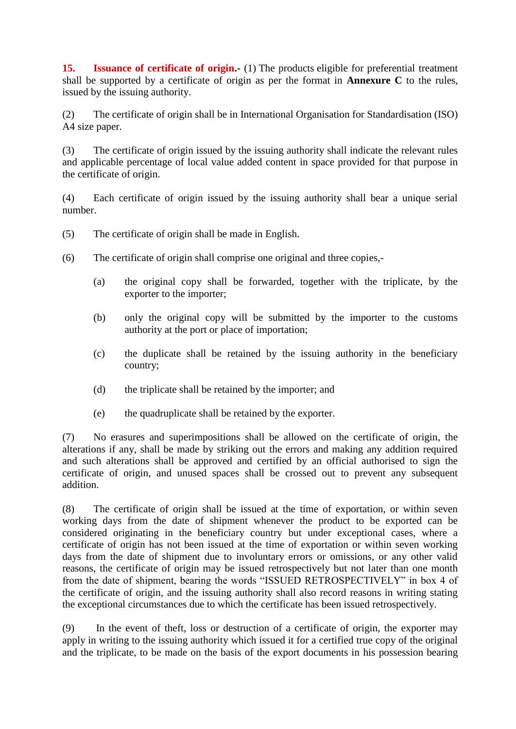**15. Issuance of certificate of origin.-** (1) The products eligible for preferential treatment shall be supported by a certificate of origin as per the format in **Annexure C** to the rules, issued by the issuing authority.

(2) The certificate of origin shall be in International Organisation for Standardisation (ISO) A4 size paper.

(3) The certificate of origin issued by the issuing authority shall indicate the relevant rules and applicable percentage of local value added content in space provided for that purpose in the certificate of origin.

(4) Each certificate of origin issued by the issuing authority shall bear a unique serial number.

- (5) The certificate of origin shall be made in English.
- (6) The certificate of origin shall comprise one original and three copies,-
	- (a) the original copy shall be forwarded, together with the triplicate, by the exporter to the importer;
	- (b) only the original copy will be submitted by the importer to the customs authority at the port or place of importation;
	- (c) the duplicate shall be retained by the issuing authority in the beneficiary country;
	- (d) the triplicate shall be retained by the importer; and
	- (e) the quadruplicate shall be retained by the exporter.

(7) No erasures and superimpositions shall be allowed on the certificate of origin, the alterations if any, shall be made by striking out the errors and making any addition required and such alterations shall be approved and certified by an official authorised to sign the certificate of origin, and unused spaces shall be crossed out to prevent any subsequent addition.

(8) The certificate of origin shall be issued at the time of exportation, or within seven working days from the date of shipment whenever the product to be exported can be considered originating in the beneficiary country but under exceptional cases, where a certificate of origin has not been issued at the time of exportation or within seven working days from the date of shipment due to involuntary errors or omissions, or any other valid reasons, the certificate of origin may be issued retrospectively but not later than one month from the date of shipment, bearing the words "ISSUED RETROSPECTIVELY" in box 4 of the certificate of origin, and the issuing authority shall also record reasons in writing stating the exceptional circumstances due to which the certificate has been issued retrospectively.

(9) In the event of theft, loss or destruction of a certificate of origin, the exporter may apply in writing to the issuing authority which issued it for a certified true copy of the original and the triplicate, to be made on the basis of the export documents in his possession bearing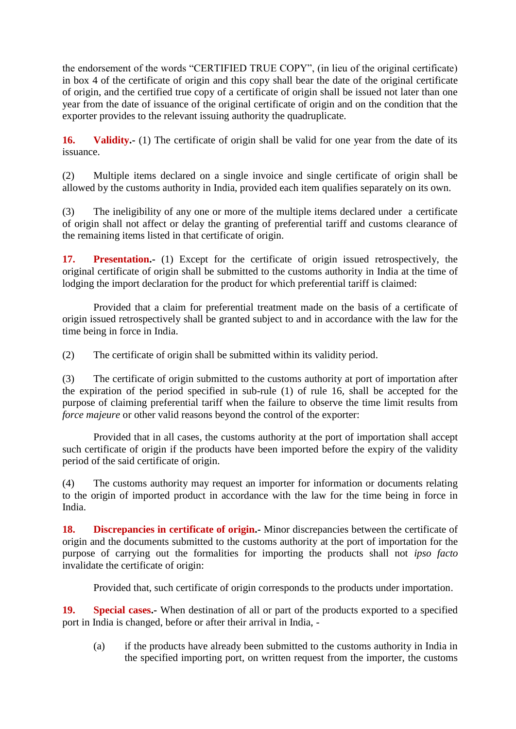the endorsement of the words "CERTIFIED TRUE COPY", (in lieu of the original certificate) in box 4 of the certificate of origin and this copy shall bear the date of the original certificate of origin, and the certified true copy of a certificate of origin shall be issued not later than one year from the date of issuance of the original certificate of origin and on the condition that the exporter provides to the relevant issuing authority the quadruplicate.

**16. Validity.-** (1) The certificate of origin shall be valid for one year from the date of its issuance.

(2) Multiple items declared on a single invoice and single certificate of origin shall be allowed by the customs authority in India, provided each item qualifies separately on its own.

(3) The ineligibility of any one or more of the multiple items declared under a certificate of origin shall not affect or delay the granting of preferential tariff and customs clearance of the remaining items listed in that certificate of origin.

**17. Presentation.-** (1) Except for the certificate of origin issued retrospectively, the original certificate of origin shall be submitted to the customs authority in India at the time of lodging the import declaration for the product for which preferential tariff is claimed:

Provided that a claim for preferential treatment made on the basis of a certificate of origin issued retrospectively shall be granted subject to and in accordance with the law for the time being in force in India.

(2) The certificate of origin shall be submitted within its validity period.

(3) The certificate of origin submitted to the customs authority at port of importation after the expiration of the period specified in sub-rule (1) of rule 16, shall be accepted for the purpose of claiming preferential tariff when the failure to observe the time limit results from *force majeure* or other valid reasons beyond the control of the exporter:

Provided that in all cases, the customs authority at the port of importation shall accept such certificate of origin if the products have been imported before the expiry of the validity period of the said certificate of origin.

(4) The customs authority may request an importer for information or documents relating to the origin of imported product in accordance with the law for the time being in force in India.

**18. Discrepancies in certificate of origin.** Minor discrepancies between the certificate of origin and the documents submitted to the customs authority at the port of importation for the purpose of carrying out the formalities for importing the products shall not *ipso facto* invalidate the certificate of origin:

Provided that, such certificate of origin corresponds to the products under importation.

**19. Special cases.-** When destination of all or part of the products exported to a specified port in India is changed, before or after their arrival in India, -

(a) if the products have already been submitted to the customs authority in India in the specified importing port, on written request from the importer, the customs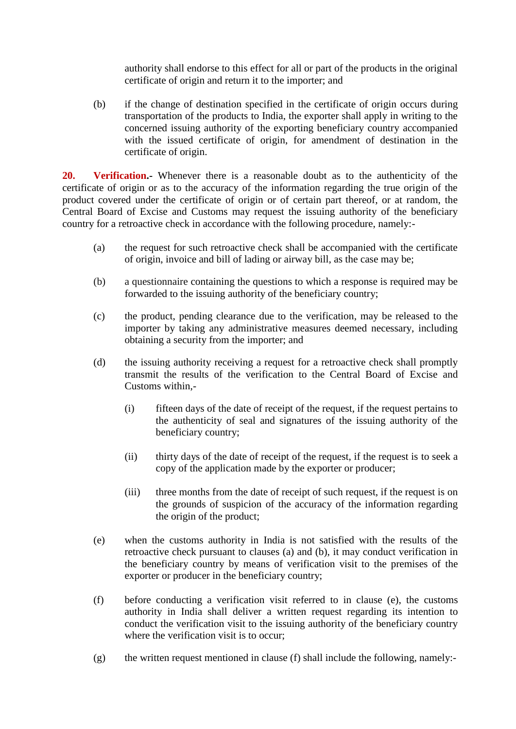authority shall endorse to this effect for all or part of the products in the original certificate of origin and return it to the importer; and

(b) if the change of destination specified in the certificate of origin occurs during transportation of the products to India, the exporter shall apply in writing to the concerned issuing authority of the exporting beneficiary country accompanied with the issued certificate of origin, for amendment of destination in the certificate of origin.

**20. Verification.-** Whenever there is a reasonable doubt as to the authenticity of the certificate of origin or as to the accuracy of the information regarding the true origin of the product covered under the certificate of origin or of certain part thereof, or at random, the Central Board of Excise and Customs may request the issuing authority of the beneficiary country for a retroactive check in accordance with the following procedure, namely:-

- (a) the request for such retroactive check shall be accompanied with the certificate of origin, invoice and bill of lading or airway bill, as the case may be;
- (b) a questionnaire containing the questions to which a response is required may be forwarded to the issuing authority of the beneficiary country;
- (c) the product, pending clearance due to the verification, may be released to the importer by taking any administrative measures deemed necessary, including obtaining a security from the importer; and
- (d) the issuing authority receiving a request for a retroactive check shall promptly transmit the results of the verification to the Central Board of Excise and Customs within,-
	- (i) fifteen days of the date of receipt of the request, if the request pertains to the authenticity of seal and signatures of the issuing authority of the beneficiary country;
	- (ii) thirty days of the date of receipt of the request, if the request is to seek a copy of the application made by the exporter or producer;
	- (iii) three months from the date of receipt of such request, if the request is on the grounds of suspicion of the accuracy of the information regarding the origin of the product;
- (e) when the customs authority in India is not satisfied with the results of the retroactive check pursuant to clauses (a) and (b), it may conduct verification in the beneficiary country by means of verification visit to the premises of the exporter or producer in the beneficiary country;
- (f) before conducting a verification visit referred to in clause (e), the customs authority in India shall deliver a written request regarding its intention to conduct the verification visit to the issuing authority of the beneficiary country where the verification visit is to occur:
- $(g)$  the written request mentioned in clause (f) shall include the following, namely:-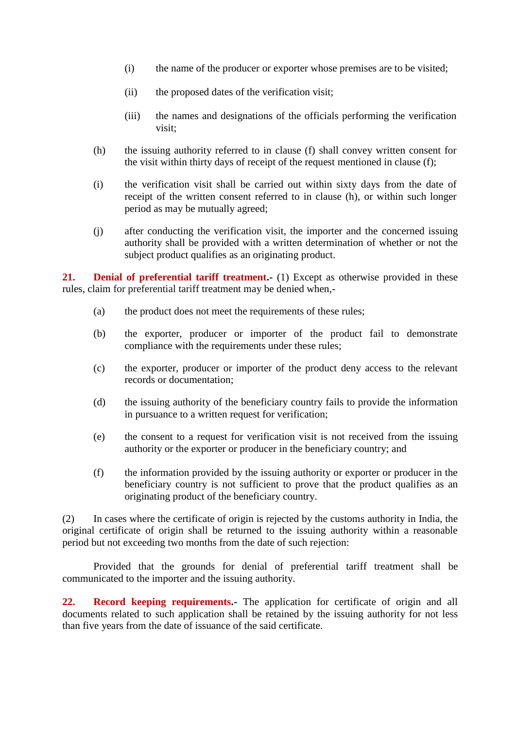- (i) the name of the producer or exporter whose premises are to be visited;
- (ii) the proposed dates of the verification visit;
- (iii) the names and designations of the officials performing the verification visit;
- (h) the issuing authority referred to in clause (f) shall convey written consent for the visit within thirty days of receipt of the request mentioned in clause (f);
- (i) the verification visit shall be carried out within sixty days from the date of receipt of the written consent referred to in clause (h), or within such longer period as may be mutually agreed;
- (j) after conducting the verification visit, the importer and the concerned issuing authority shall be provided with a written determination of whether or not the subject product qualifies as an originating product.

**21. Denial of preferential tariff treatment.** (1) Except as otherwise provided in these rules, claim for preferential tariff treatment may be denied when,-

- (a) the product does not meet the requirements of these rules;
- (b) the exporter, producer or importer of the product fail to demonstrate compliance with the requirements under these rules;
- (c) the exporter, producer or importer of the product deny access to the relevant records or documentation;
- (d) the issuing authority of the beneficiary country fails to provide the information in pursuance to a written request for verification;
- (e) the consent to a request for verification visit is not received from the issuing authority or the exporter or producer in the beneficiary country; and
- (f) the information provided by the issuing authority or exporter or producer in the beneficiary country is not sufficient to prove that the product qualifies as an originating product of the beneficiary country.

(2) In cases where the certificate of origin is rejected by the customs authority in India, the original certificate of origin shall be returned to the issuing authority within a reasonable period but not exceeding two months from the date of such rejection:

Provided that the grounds for denial of preferential tariff treatment shall be communicated to the importer and the issuing authority.

22. **Record keeping requirements.** The application for certificate of origin and all documents related to such application shall be retained by the issuing authority for not less than five years from the date of issuance of the said certificate.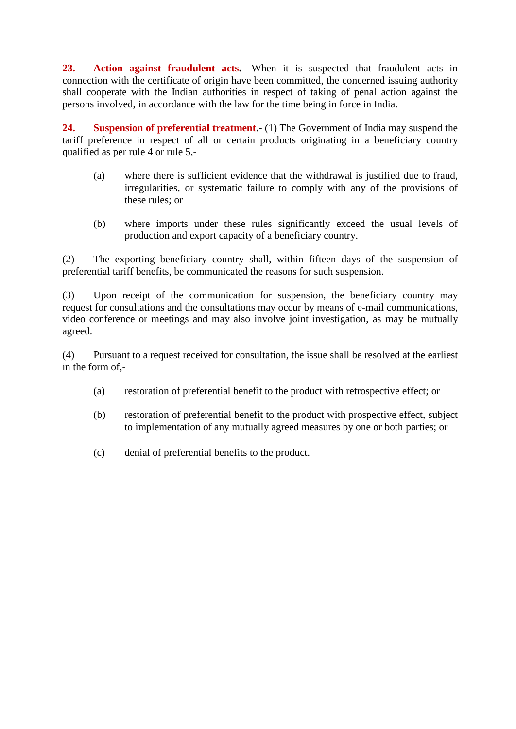**23. Action against fraudulent acts.-** When it is suspected that fraudulent acts in connection with the certificate of origin have been committed, the concerned issuing authority shall cooperate with the Indian authorities in respect of taking of penal action against the persons involved, in accordance with the law for the time being in force in India.

**24. Suspension of preferential treatment.-** (1) The Government of India may suspend the tariff preference in respect of all or certain products originating in a beneficiary country qualified as per rule 4 or rule 5,-

- (a) where there is sufficient evidence that the withdrawal is justified due to fraud, irregularities, or systematic failure to comply with any of the provisions of these rules; or
- (b) where imports under these rules significantly exceed the usual levels of production and export capacity of a beneficiary country.

(2) The exporting beneficiary country shall, within fifteen days of the suspension of preferential tariff benefits, be communicated the reasons for such suspension.

(3) Upon receipt of the communication for suspension, the beneficiary country may request for consultations and the consultations may occur by means of e-mail communications, video conference or meetings and may also involve joint investigation, as may be mutually agreed.

(4) Pursuant to a request received for consultation, the issue shall be resolved at the earliest in the form of,-

- (a) restoration of preferential benefit to the product with retrospective effect; or
- (b) restoration of preferential benefit to the product with prospective effect, subject to implementation of any mutually agreed measures by one or both parties; or
- (c) denial of preferential benefits to the product.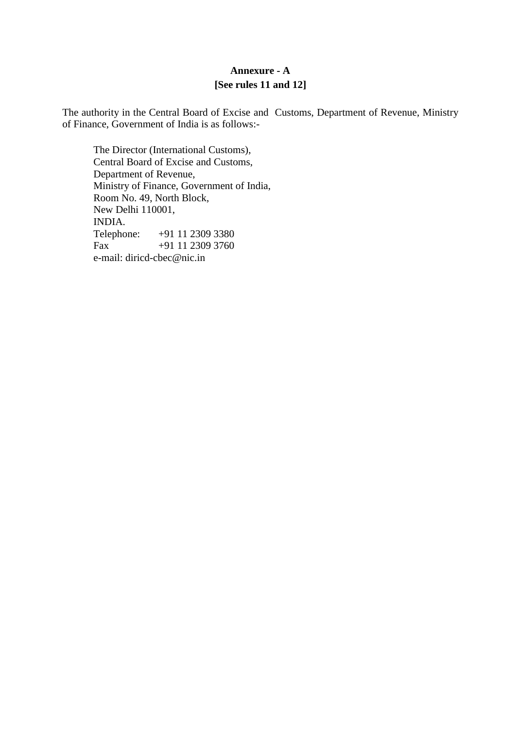## **Annexure - A [See rules 11 and 12]**

The authority in the Central Board of Excise and Customs, Department of Revenue, Ministry of Finance, Government of India is as follows:-

The Director (International Customs), Central Board of Excise and Customs, Department of Revenue, Ministry of Finance, Government of India, Room No. 49, North Block, New Delhi 110001, INDIA.<br>Telephone: +91 11 2309 3380 Fax +91 11 2309 3760 e-mail: diricd-cbec@nic.in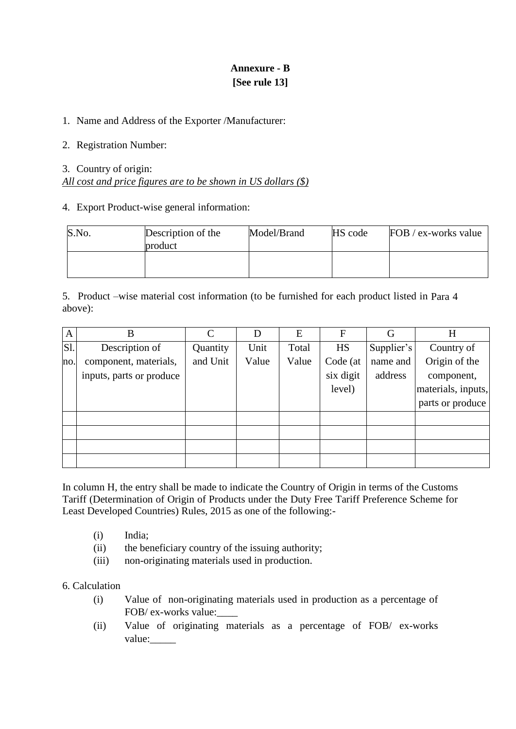# **Annexure - B [See rule 13]**

### 1. Name and Address of the Exporter /Manufacturer:

### 2. Registration Number:

## 3. Country of origin: *All cost and price figures are to be shown in US dollars (\$)*

### 4. Export Product-wise general information:

| S.No. | Description of the<br>product | Model/Brand | HS code | FOB / ex-works value |
|-------|-------------------------------|-------------|---------|----------------------|
|       |                               |             |         |                      |

5. Product –wise material cost information (to be furnished for each product listed in Para 4 above):

| $\mathbf{A}$ | B                        | $\mathcal{C}$ | D     | Ε     | F         | G          | H                  |
|--------------|--------------------------|---------------|-------|-------|-----------|------------|--------------------|
| S1.          | Description of           | Quantity      | Unit  | Total | <b>HS</b> | Supplier's | Country of         |
| no.          | component, materials,    | and Unit      | Value | Value | Code (at  | name and   | Origin of the      |
|              | inputs, parts or produce |               |       |       | six digit | address    | component,         |
|              |                          |               |       |       | level)    |            | materials, inputs, |
|              |                          |               |       |       |           |            | parts or produce   |
|              |                          |               |       |       |           |            |                    |
|              |                          |               |       |       |           |            |                    |
|              |                          |               |       |       |           |            |                    |
|              |                          |               |       |       |           |            |                    |

In column H, the entry shall be made to indicate the Country of Origin in terms of the Customs Tariff (Determination of Origin of Products under the Duty Free Tariff Preference Scheme for Least Developed Countries) Rules, 2015 as one of the following:-

- (i) India;
- (ii) the beneficiary country of the issuing authority;
- (iii) non-originating materials used in production.

#### 6. Calculation

- (i) Value of non-originating materials used in production as a percentage of FOB/ ex-works value:
- (ii) Value of originating materials as a percentage of FOB/ ex-works value: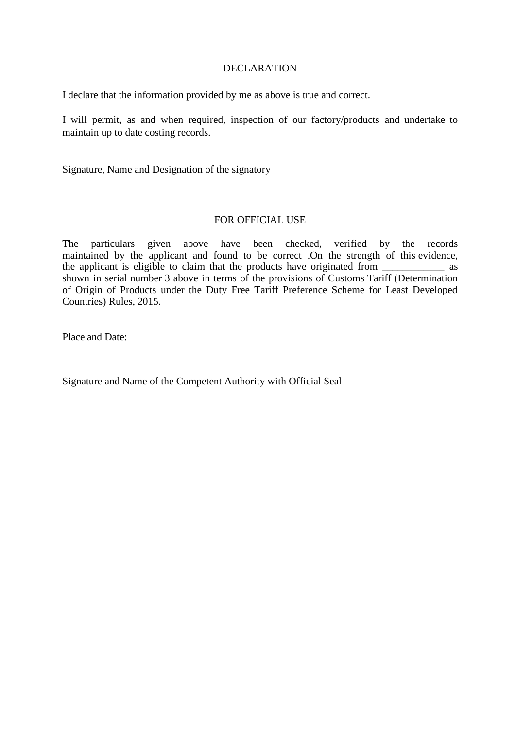#### **DECLARATION**

I declare that the information provided by me as above is true and correct.

I will permit, as and when required, inspection of our factory/products and undertake to maintain up to date costing records.

Signature, Name and Designation of the signatory

#### FOR OFFICIAL USE

The particulars given above have been checked, verified by the records maintained by the applicant and found to be correct .On the strength of this evidence, the applicant is eligible to claim that the products have originated from \_\_\_\_\_\_\_\_\_\_\_\_ as shown in serial number 3 above in terms of the provisions of Customs Tariff (Determination of Origin of Products under the Duty Free Tariff Preference Scheme for Least Developed Countries) Rules, 2015.

Place and Date:

Signature and Name of the Competent Authority with Official Seal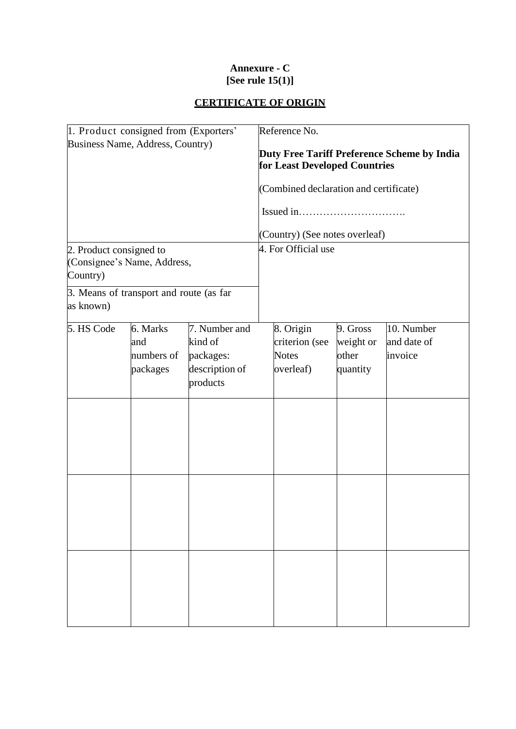## **Annexure - C [See rule 15(1)]**

# **CERTIFICATE OF ORIGIN**

| 1. Product consigned from (Exporters'                              |            |                                                                                                                                                          | Reference No. |                |               |                     |                                         |          |            |  |  |
|--------------------------------------------------------------------|------------|----------------------------------------------------------------------------------------------------------------------------------------------------------|---------------|----------------|---------------|---------------------|-----------------------------------------|----------|------------|--|--|
| Business Name, Address, Country)                                   |            | Duty Free Tariff Preference Scheme by India<br>for Least Developed Countries<br>(Combined declaration and certificate)<br>(Country) (See notes overleaf) |               |                |               |                     |                                         |          |            |  |  |
| 2. Product consigned to<br>(Consignee's Name, Address,<br>Country) |            |                                                                                                                                                          |               |                |               |                     |                                         |          |            |  |  |
|                                                                    |            |                                                                                                                                                          |               |                |               | 4. For Official use |                                         |          |            |  |  |
|                                                                    |            |                                                                                                                                                          |               |                |               | as known)           | 3. Means of transport and route (as far |          |            |  |  |
|                                                                    |            |                                                                                                                                                          | 5. HS Code    | 6. Marks       | 7. Number and |                     | 8. Origin                               | 9. Gross | 10. Number |  |  |
|                                                                    | and        | kind of                                                                                                                                                  |               | criterion (see | weight or     | and date of         |                                         |          |            |  |  |
|                                                                    | numbers of | packages:                                                                                                                                                |               | <b>Notes</b>   | other         | invoice             |                                         |          |            |  |  |
|                                                                    | packages   | description of<br>products                                                                                                                               |               | overleaf)      | quantity      |                     |                                         |          |            |  |  |
|                                                                    |            |                                                                                                                                                          |               |                |               |                     |                                         |          |            |  |  |
|                                                                    |            |                                                                                                                                                          |               |                |               |                     |                                         |          |            |  |  |
|                                                                    |            |                                                                                                                                                          |               |                |               |                     |                                         |          |            |  |  |
|                                                                    |            |                                                                                                                                                          |               |                |               |                     |                                         |          |            |  |  |
|                                                                    |            |                                                                                                                                                          |               |                |               |                     |                                         |          |            |  |  |
|                                                                    |            |                                                                                                                                                          |               |                |               |                     |                                         |          |            |  |  |
|                                                                    |            |                                                                                                                                                          |               |                |               |                     |                                         |          |            |  |  |
|                                                                    |            |                                                                                                                                                          |               |                |               |                     |                                         |          |            |  |  |
|                                                                    |            |                                                                                                                                                          |               |                |               |                     |                                         |          |            |  |  |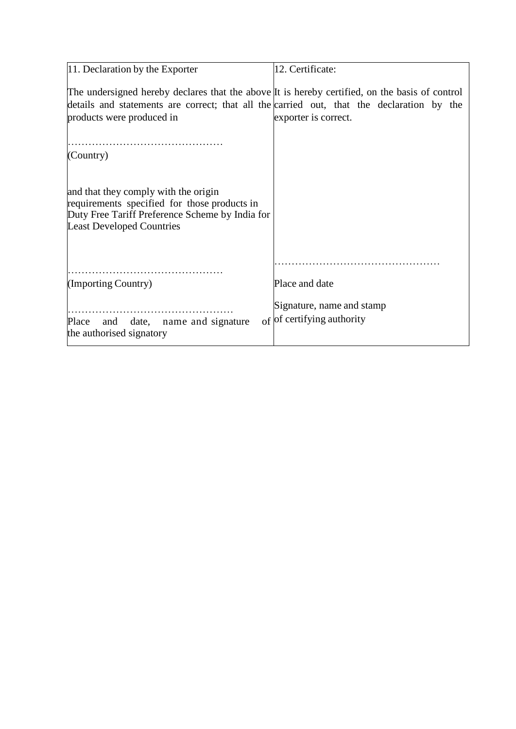| 11. Declaration by the Exporter                                                                                                                                             | 12. Certificate:           |
|-----------------------------------------------------------------------------------------------------------------------------------------------------------------------------|----------------------------|
| The undersigned hereby declares that the above It is hereby certified, on the basis of control                                                                              |                            |
| details and statements are correct; that all the carried out, that the declaration by the                                                                                   |                            |
| products were produced in                                                                                                                                                   | exporter is correct.       |
|                                                                                                                                                                             |                            |
| (Country)                                                                                                                                                                   |                            |
|                                                                                                                                                                             |                            |
| and that they comply with the origin<br>requirements specified for those products in<br>Duty Free Tariff Preference Scheme by India for<br><b>Least Developed Countries</b> |                            |
|                                                                                                                                                                             |                            |
| (Importing Country)                                                                                                                                                         | Place and date             |
|                                                                                                                                                                             | Signature, name and stamp  |
| Place and date, name and signature                                                                                                                                          | of of certifying authority |
| the authorised signatory                                                                                                                                                    |                            |